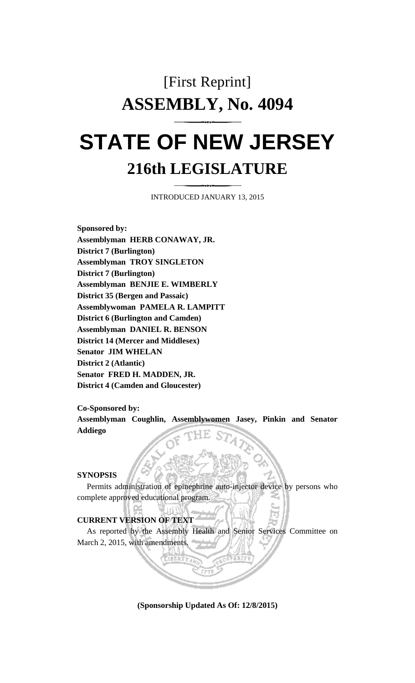# [First Reprint] **ASSEMBLY, No. 4094**

# **STATE OF NEW JERSEY 216th LEGISLATURE**

INTRODUCED JANUARY 13, 2015

**Sponsored by: Assemblyman HERB CONAWAY, JR. District 7 (Burlington) Assemblyman TROY SINGLETON District 7 (Burlington) Assemblyman BENJIE E. WIMBERLY District 35 (Bergen and Passaic) Assemblywoman PAMELA R. LAMPITT District 6 (Burlington and Camden) Assemblyman DANIEL R. BENSON District 14 (Mercer and Middlesex) Senator JIM WHELAN District 2 (Atlantic) Senator FRED H. MADDEN, JR. District 4 (Camden and Gloucester)**

**Co-Sponsored by:**

**Assemblyman Coughlin, Assemblywomen Jasey, Pinkin and Senator Addiego**

#### **SYNOPSIS**

Permits administration of epinephrine auto-injector device by persons who complete approved educational program.

#### **CURRENT VERSION OF TEXT**

As reported by the Assembly Health and Senior Services Committee on March 2, 2015, with amendments.

**(Sponsorship Updated As Of: 12/8/2015)**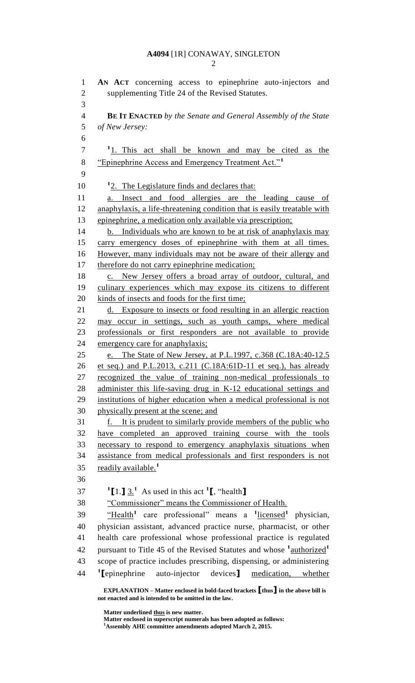#### **A4094** [1R] CONAWAY, SINGLETON

 **AN ACT** concerning access to epinephrine auto-injectors and supplementing Title 24 of the Revised Statutes. **BE IT ENACTED** *by the Senate and General Assembly of the State of New Jersey:* 1. This act shall be known and may be cited as the "Epinephrine Access and Emergency Treatment Act."**<sup>1</sup>** 10 <sup>1</sup>2. The Legislature finds and declares that: a. Insect and food allergies are the leading cause of anaphylaxis, a life-threatening condition that is easily treatable with epinephrine, a medication only available via prescription; 14 b. Individuals who are known to be at risk of anaphylaxis may carry emergency doses of epinephrine with them at all times. However, many individuals may not be aware of their allergy and 17 therefore do not carry epinephrine medication; 18 c. New Jersey offers a broad array of outdoor, cultural, and culinary experiences which may expose its citizens to different 20 kinds of insects and foods for the first time; 21 d. Exposure to insects or food resulting in an allergic reaction may occur in settings, such as youth camps, where medical professionals or first responders are not available to provide emergency care for anaphylaxis; e. The State of New Jersey, at P.L.1997, c.368 (C.18A:40-12.5 et seq.) and P.L.2013, c.211 (C.18A:61D-11 et seq.), has already recognized the value of training non-medical professionals to administer this life-saving drug in K-12 educational settings and institutions of higher education when a medical professional is not physically present at the scene; and f. It is prudent to similarly provide members of the public who have completed an approved training course with the tools necessary to respond to emergency anaphylaxis situations when assistance from medical professionals and first responders is not readily available.**<sup>1</sup>**  $11.1 \underline{3}$ <sup>1</sup> As used in this act <sup>1</sup>**I**, "health "Commissioner" means the Commissioner of Health. 39 
"Health<sup>1</sup> care professional" means a <sup>1</sup>licensed<sup>1</sup> physician, physician assistant, advanced practice nurse, pharmacist, or other health care professional whose professional practice is regulated pursuant to Title 45 of the Revised Statutes and whose **<sup>1</sup>** authorized**<sup>1</sup>** scope of practice includes prescribing, dispensing, or administering <sup>1</sup>[epinephrine] **[**epinephrine auto-injector devices**]** medication, whether

**Matter enclosed in superscript numerals has been adopted as follows: Assembly AHE committee amendments adopted March 2, 2015.**

**EXPLANATION – Matter enclosed in bold-faced brackets [thus] in the above bill is not enacted and is intended to be omitted in the law.**

**Matter underlined thus is new matter.**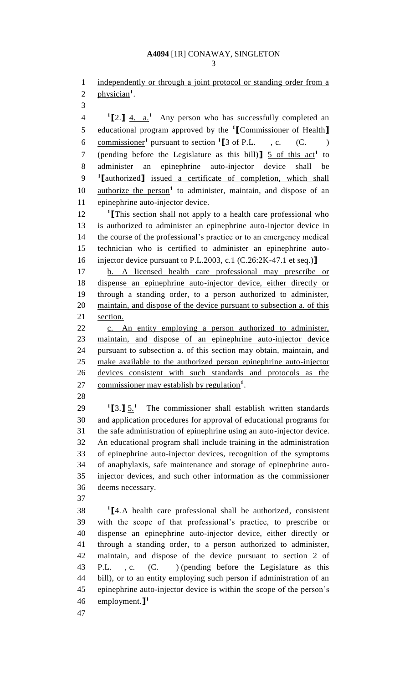## **A4094** [1R] CONAWAY, SINGLETON

1 independently or through a joint protocol or standing order from a 2 physician<sup>1</sup>.

**1 [**2.**]** 4. a.**<sup>1</sup>** 4 Any person who has successfully completed an educational program approved by the **<sup>1</sup> [**Commissioner of Health**]** commissioner**<sup>1</sup>** pursuant to section **<sup>1</sup> [**3 of P.L. , c. (C. ) (pending before the Legislature as this bill)  $\int$  5 of this act<sup>1</sup> to administer an epinephrine auto-injector device shall be **1 [**authorized**]** issued a certificate of completion, which shall 10 authorize the person<sup>1</sup> to administer, maintain, and dispose of an epinephrine auto-injector device.

 **[**This section shall not apply to a health care professional who is authorized to administer an epinephrine auto-injector device in the course of the professional's practice or to an emergency medical technician who is certified to administer an epinephrine auto-injector device pursuant to P.L.2003, c.1 (C.26:2K-47.1 et seq.)**]**

 b. A licensed health care professional may prescribe or dispense an epinephrine auto-injector device, either directly or through a standing order, to a person authorized to administer, maintain, and dispose of the device pursuant to subsection a. of this section.

22 c. An entity employing a person authorized to administer, maintain, and dispose of an epinephrine auto-injector device pursuant to subsection a. of this section may obtain, maintain, and make available to the authorized person epinephrine auto-injector devices consistent with such standards and protocols as the 27 commissioner may establish by regulation<sup>1</sup>.

 **[**3.**]** 5.**<sup>1</sup>**  $\frac{1}{2}$  The commissioner shall establish written standards and application procedures for approval of educational programs for the safe administration of epinephrine using an auto-injector device. An educational program shall include training in the administration of epinephrine auto-injector devices, recognition of the symptoms of anaphylaxis, safe maintenance and storage of epinephrine auto- injector devices, and such other information as the commissioner deems necessary.

 **[**4.A health care professional shall be authorized, consistent with the scope of that professional's practice, to prescribe or dispense an epinephrine auto-injector device, either directly or through a standing order, to a person authorized to administer, maintain, and dispose of the device pursuant to section 2 of P.L. , c. (C. ) (pending before the Legislature as this bill), or to an entity employing such person if administration of an epinephrine auto-injector device is within the scope of the person's employment.**] 1**